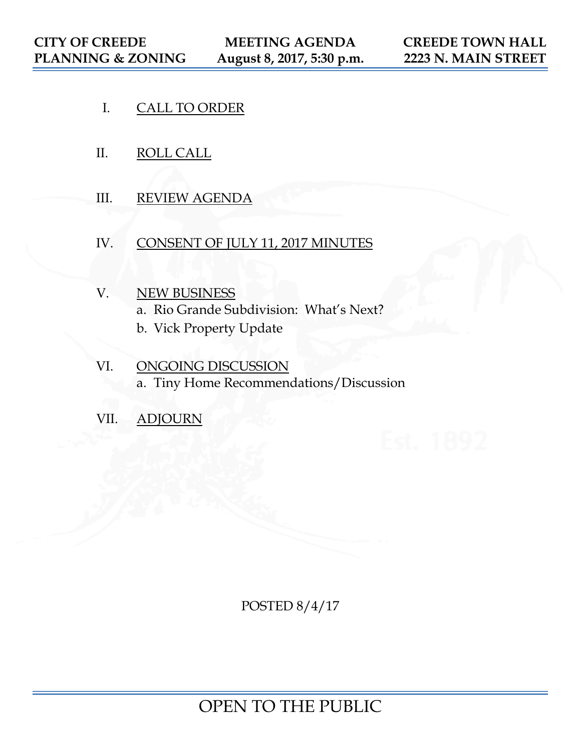- I. CALL TO ORDER
- II. ROLL CALL
- III. REVIEW AGENDA
- IV. CONSENT OF JULY 11, 2017 MINUTES
- V. NEW BUSINESS a. Rio Grande Subdivision: What's Next?
	- b. Vick Property Update
- VI. ONGOING DISCUSSION a. Tiny Home Recommendations/Discussion
- VII. ADJOURN

POSTED 8/4/17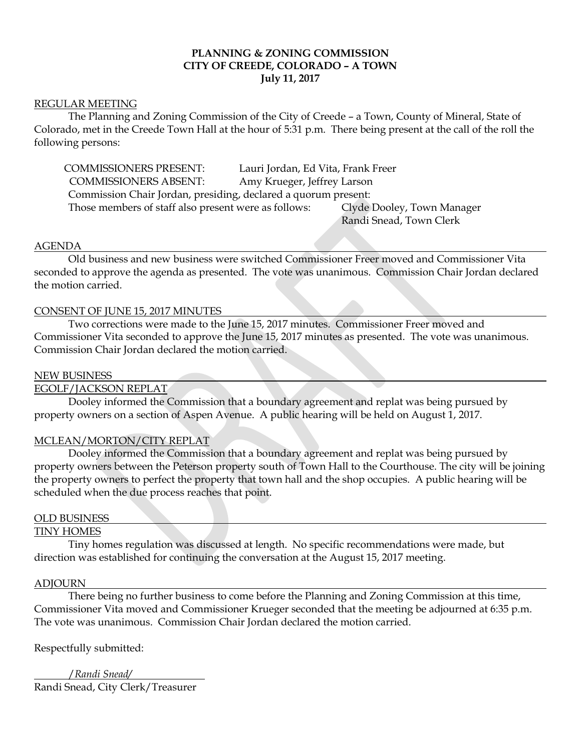## **PLANNING & ZONING COMMISSION CITY OF CREEDE, COLORADO – A TOWN July 11, 2017**

#### REGULAR MEETING

The Planning and Zoning Commission of the City of Creede – a Town, County of Mineral, State of Colorado, met in the Creede Town Hall at the hour of 5:31 p.m. There being present at the call of the roll the following persons:

COMMISSIONERS PRESENT: Lauri Jordan, Ed Vita, Frank Freer COMMISSIONERS ABSENT: Amy Krueger, Jeffrey Larson Commission Chair Jordan, presiding, declared a quorum present: Those members of staff also present were as follows: Clyde Dooley, Town Manager Randi Snead, Town Clerk

#### AGENDA

Old business and new business were switched Commissioner Freer moved and Commissioner Vita seconded to approve the agenda as presented. The vote was unanimous. Commission Chair Jordan declared the motion carried.

#### CONSENT OF JUNE 15, 2017 MINUTES

Two corrections were made to the June 15, 2017 minutes. Commissioner Freer moved and Commissioner Vita seconded to approve the June 15, 2017 minutes as presented. The vote was unanimous. Commission Chair Jordan declared the motion carried.

#### NEW BUSINESS

## EGOLF/JACKSON REPLAT

Dooley informed the Commission that a boundary agreement and replat was being pursued by property owners on a section of Aspen Avenue. A public hearing will be held on August 1, 2017.

#### MCLEAN/MORTON/CITY REPLAT

Dooley informed the Commission that a boundary agreement and replat was being pursued by property owners between the Peterson property south of Town Hall to the Courthouse. The city will be joining the property owners to perfect the property that town hall and the shop occupies. A public hearing will be scheduled when the due process reaches that point.

#### OLD BUSINESS

#### TINY HOMES

 Tiny homes regulation was discussed at length. No specific recommendations were made, but direction was established for continuing the conversation at the August 15, 2017 meeting.

#### ADJOURN

There being no further business to come before the Planning and Zoning Commission at this time, Commissioner Vita moved and Commissioner Krueger seconded that the meeting be adjourned at 6:35 p.m. The vote was unanimous. Commission Chair Jordan declared the motion carried.

Respectfully submitted:

/*Randi Snead/* Randi Snead, City Clerk/Treasurer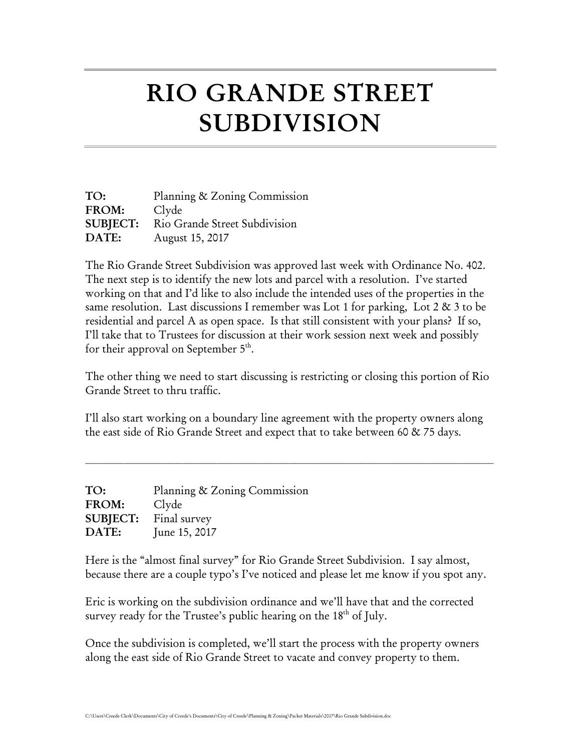# RIO GRANDE STREET SUBDIVISION

| TO:             | Planning & Zoning Commission  |
|-----------------|-------------------------------|
| FROM:           | Clyde                         |
| <b>SUBJECT:</b> | Rio Grande Street Subdivision |
| DATE:           | August 15, 2017               |

The Rio Grande Street Subdivision was approved last week with Ordinance No. 402. The next step is to identify the new lots and parcel with a resolution. I've started working on that and I'd like to also include the intended uses of the properties in the same resolution. Last discussions I remember was Lot 1 for parking, Lot 2 & 3 to be residential and parcel A as open space. Is that still consistent with your plans? If so, I'll take that to Trustees for discussion at their work session next week and possibly for their approval on September  $5<sup>th</sup>$ .

The other thing we need to start discussing is restricting or closing this portion of Rio Grande Street to thru traffic.

I'll also start working on a boundary line agreement with the property owners along the east side of Rio Grande Street and expect that to take between 60 & 75 days.

 $\mathcal{L}_\mathcal{L} = \mathcal{L}_\mathcal{L} = \mathcal{L}_\mathcal{L} = \mathcal{L}_\mathcal{L} = \mathcal{L}_\mathcal{L} = \mathcal{L}_\mathcal{L} = \mathcal{L}_\mathcal{L} = \mathcal{L}_\mathcal{L} = \mathcal{L}_\mathcal{L} = \mathcal{L}_\mathcal{L} = \mathcal{L}_\mathcal{L} = \mathcal{L}_\mathcal{L} = \mathcal{L}_\mathcal{L} = \mathcal{L}_\mathcal{L} = \mathcal{L}_\mathcal{L} = \mathcal{L}_\mathcal{L} = \mathcal{L}_\mathcal{L}$ 

| TO:                          | Planning & Zoning Commission |
|------------------------------|------------------------------|
| FROM:                        | Clyde                        |
| <b>SUBJECT:</b> Final survey |                              |
| DATE:                        | June 15, 2017                |

Here is the "almost final survey" for Rio Grande Street Subdivision. I say almost, because there are a couple typo's I've noticed and please let me know if you spot any.

Eric is working on the subdivision ordinance and we'll have that and the corrected survey ready for the Trustee's public hearing on the 18<sup>th</sup> of July.

Once the subdivision is completed, we'll start the process with the property owners along the east side of Rio Grande Street to vacate and convey property to them.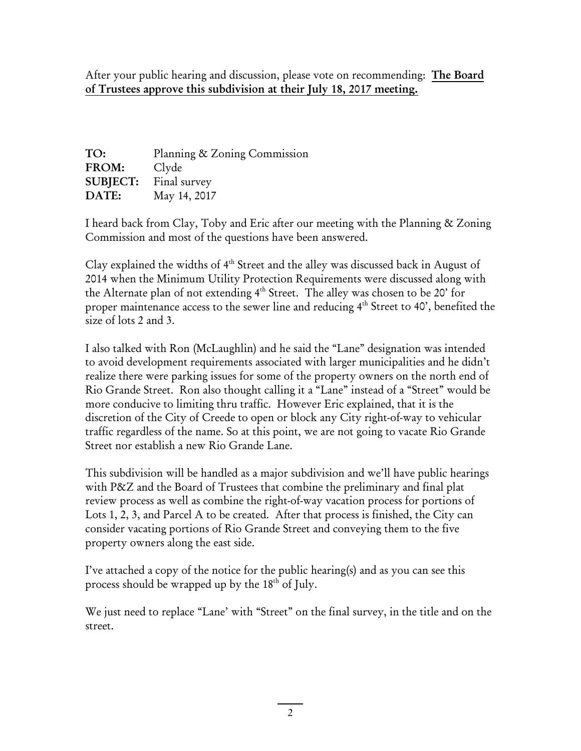After your public hearing and discussion, please vote on recommending: The Board of Trustees approve this subdivision at their July 18, 2017 meeting.

| TO:         | Planning & Zoning Commission |
|-------------|------------------------------|
| FROM: Clyde |                              |
|             | <b>SUBJECT:</b> Final survey |
| DATE:       | May 14, 2017                 |

I heard back from Clay, Toby and Eric after our meeting with the Planning & Zoning Commission and most of the questions have been answered.

Clay explained the widths of 4<sup>th</sup> Street and the alley was discussed back in August of 2014 when the Minimum Utility Protection Requirements were discussed along with the Alternate plan of not extending 4<sup>th</sup> Street. The alley was chosen to be 20' for proper maintenance access to the sewer line and reducing 4<sup>th</sup> Street to 40', benefited the size of lots 2 and 3.

I also talked with Ron (McLaughlin) and he said the "Lane" designation was intended to avoid development requirements associated with larger municipalities and he didn't realize there were parking issues for some of the property owners on the north end of Rio Grande Street. Ron also thought calling it a "Lane" instead of a "Street" would be more conducive to limiting thru traffic. However Eric explained, that it is the discretion of the City of Creede to open or block any City right-of-way to vehicular traffic regardless of the name. So at this point, we are not going to vacate Rio Grande Street nor establish a new Rio Grande Lane.

This subdivision will be handled as a major subdivision and we'll have public hearings with P&Z and the Board of Trustees that combine the preliminary and final plat review process as well as combine the right-of-way vacation process for portions of Lots 1, 2, 3, and Parcel A to be created. After that process is finished, the City can consider vacating portions of Rio Grande Street and conveying them to the five property owners along the east side.

I've attached a copy of the notice for the public hearing(s) and as you can see this process should be wrapped up by the 18<sup>th</sup> of July.

We just need to replace "Lane' with "Street" on the final survey, in the title and on the street.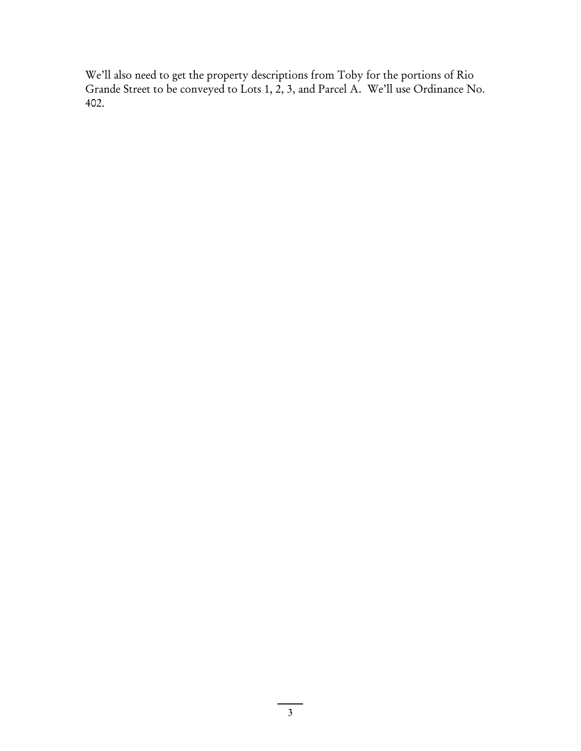We'll also need to get the property descriptions from Toby for the portions of Rio Grande Street to be conveyed to Lots 1, 2, 3, and Parcel A. We'll use Ordinance No. 402.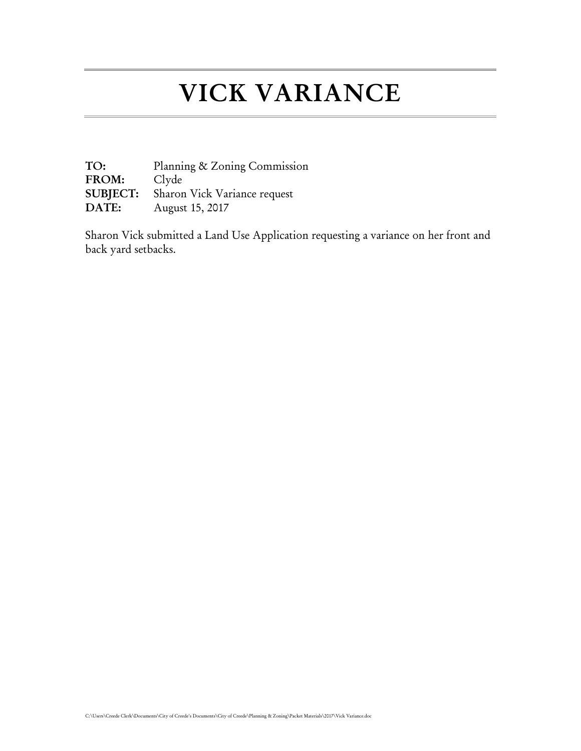## VICK VARIANCE

TO: Planning & Zoning Commission<br>FROM: Clyde FROM: SUBJECT: Sharon Vick Variance request DATE: August 15, 2017

Sharon Vick submitted a Land Use Application requesting a variance on her front and back yard setbacks.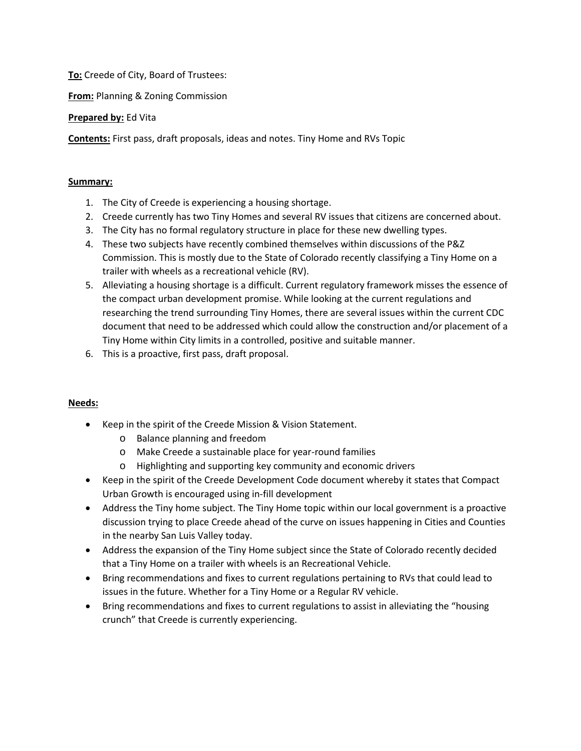**To:** Creede of City, Board of Trustees:

**From:** Planning & Zoning Commission

## **Prepared by:** Ed Vita

**Contents:** First pass, draft proposals, ideas and notes. Tiny Home and RVs Topic

## **Summary:**

- 1. The City of Creede is experiencing a housing shortage.
- 2. Creede currently has two Tiny Homes and several RV issues that citizens are concerned about.
- 3. The City has no formal regulatory structure in place for these new dwelling types.
- 4. These two subjects have recently combined themselves within discussions of the P&Z Commission. This is mostly due to the State of Colorado recently classifying a Tiny Home on a trailer with wheels as a recreational vehicle (RV).
- 5. Alleviating a housing shortage is a difficult. Current regulatory framework misses the essence of the compact urban development promise. While looking at the current regulations and researching the trend surrounding Tiny Homes, there are several issues within the current CDC document that need to be addressed which could allow the construction and/or placement of a Tiny Home within City limits in a controlled, positive and suitable manner.
- 6. This is a proactive, first pass, draft proposal.

## **Needs:**

- Keep in the spirit of the Creede Mission & Vision Statement.
	- o Balance planning and freedom
	- o Make Creede a sustainable place for year-round families
	- o Highlighting and supporting key community and economic drivers
- Keep in the spirit of the Creede Development Code document whereby it states that Compact Urban Growth is encouraged using in-fill development
- Address the Tiny home subject. The Tiny Home topic within our local government is a proactive discussion trying to place Creede ahead of the curve on issues happening in Cities and Counties in the nearby San Luis Valley today.
- Address the expansion of the Tiny Home subject since the State of Colorado recently decided that a Tiny Home on a trailer with wheels is an Recreational Vehicle.
- Bring recommendations and fixes to current regulations pertaining to RVs that could lead to issues in the future. Whether for a Tiny Home or a Regular RV vehicle.
- Bring recommendations and fixes to current regulations to assist in alleviating the "housing crunch" that Creede is currently experiencing.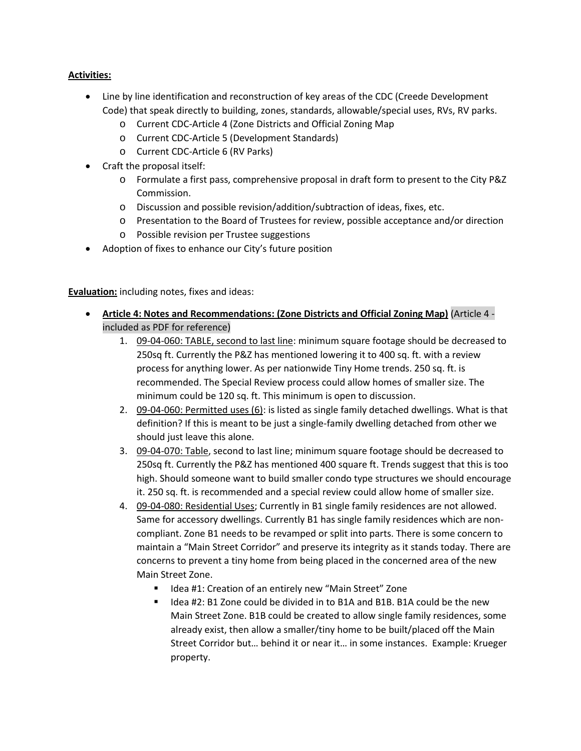### **Activities:**

- Line by line identification and reconstruction of key areas of the CDC (Creede Development Code) that speak directly to building, zones, standards, allowable/special uses, RVs, RV parks.
	- o Current CDC-Article 4 (Zone Districts and Official Zoning Map
	- o Current CDC-Article 5 (Development Standards)
	- o Current CDC-Article 6 (RV Parks)
- Craft the proposal itself:
	- o Formulate a first pass, comprehensive proposal in draft form to present to the City P&Z Commission.
	- o Discussion and possible revision/addition/subtraction of ideas, fixes, etc.
	- o Presentation to the Board of Trustees for review, possible acceptance and/or direction
	- o Possible revision per Trustee suggestions
- Adoption of fixes to enhance our City's future position

**Evaluation:** including notes, fixes and ideas:

- **Article 4: Notes and Recommendations: (Zone Districts and Official Zoning Map)** (Article 4 included as PDF for reference)
	- 1. 09-04-060: TABLE, second to last line: minimum square footage should be decreased to 250sq ft. Currently the P&Z has mentioned lowering it to 400 sq. ft. with a review process for anything lower. As per nationwide Tiny Home trends. 250 sq. ft. is recommended. The Special Review process could allow homes of smaller size. The minimum could be 120 sq. ft. This minimum is open to discussion.
	- 2. 09-04-060: Permitted uses (6): is listed as single family detached dwellings. What is that definition? If this is meant to be just a single-family dwelling detached from other we should just leave this alone.
	- 3. 09-04-070: Table, second to last line; minimum square footage should be decreased to 250sq ft. Currently the P&Z has mentioned 400 square ft. Trends suggest that this is too high. Should someone want to build smaller condo type structures we should encourage it. 250 sq. ft. is recommended and a special review could allow home of smaller size.
	- 4. 09-04-080: Residential Uses; Currently in B1 single family residences are not allowed. Same for accessory dwellings. Currently B1 has single family residences which are noncompliant. Zone B1 needs to be revamped or split into parts. There is some concern to maintain a "Main Street Corridor" and preserve its integrity as it stands today. There are concerns to prevent a tiny home from being placed in the concerned area of the new Main Street Zone.
		- Idea #1: Creation of an entirely new "Main Street" Zone
		- Idea #2: B1 Zone could be divided in to B1A and B1B. B1A could be the new Main Street Zone. B1B could be created to allow single family residences, some already exist, then allow a smaller/tiny home to be built/placed off the Main Street Corridor but… behind it or near it… in some instances. Example: Krueger property.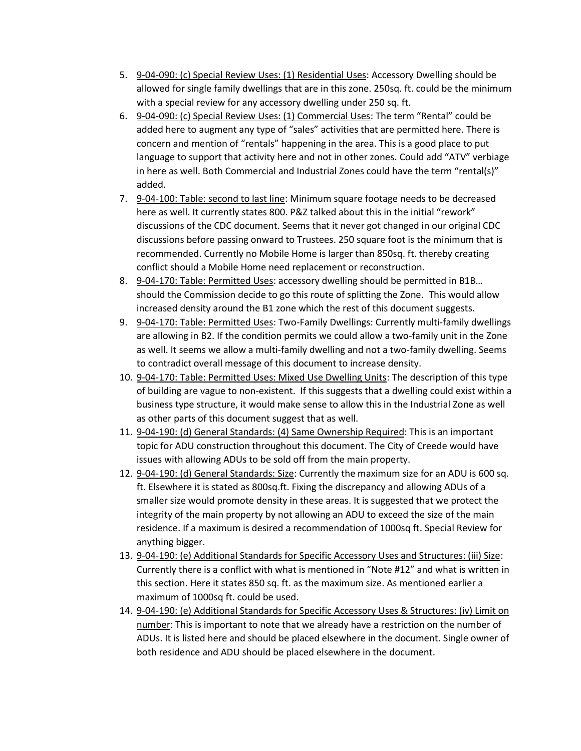- 5. 9-04-090: (c) Special Review Uses: (1) Residential Uses: Accessory Dwelling should be allowed for single family dwellings that are in this zone. 250sq. ft. could be the minimum with a special review for any accessory dwelling under 250 sq. ft.
- 6. 9-04-090: (c) Special Review Uses: (1) Commercial Uses: The term "Rental" could be added here to augment any type of "sales" activities that are permitted here. There is concern and mention of "rentals" happening in the area. This is a good place to put language to support that activity here and not in other zones. Could add "ATV" verbiage in here as well. Both Commercial and Industrial Zones could have the term "rental(s)" added.
- 7. 9-04-100: Table: second to last line: Minimum square footage needs to be decreased here as well. It currently states 800. P&Z talked about this in the initial "rework" discussions of the CDC document. Seems that it never got changed in our original CDC discussions before passing onward to Trustees. 250 square foot is the minimum that is recommended. Currently no Mobile Home is larger than 850sq. ft. thereby creating conflict should a Mobile Home need replacement or reconstruction.
- 8. 9-04-170: Table: Permitted Uses: accessory dwelling should be permitted in B1B... should the Commission decide to go this route of splitting the Zone. This would allow increased density around the B1 zone which the rest of this document suggests.
- 9. 9-04-170: Table: Permitted Uses: Two-Family Dwellings: Currently multi-family dwellings are allowing in B2. If the condition permits we could allow a two-family unit in the Zone as well. It seems we allow a multi-family dwelling and not a two-family dwelling. Seems to contradict overall message of this document to increase density.
- 10. 9-04-170: Table: Permitted Uses: Mixed Use Dwelling Units: The description of this type of building are vague to non-existent. If this suggests that a dwelling could exist within a business type structure, it would make sense to allow this in the Industrial Zone as well as other parts of this document suggest that as well.
- 11. 9-04-190: (d) General Standards: (4) Same Ownership Required: This is an important topic for ADU construction throughout this document. The City of Creede would have issues with allowing ADUs to be sold off from the main property.
- 12. 9-04-190: (d) General Standards: Size: Currently the maximum size for an ADU is 600 sq. ft. Elsewhere it is stated as 800sq.ft. Fixing the discrepancy and allowing ADUs of a smaller size would promote density in these areas. It is suggested that we protect the integrity of the main property by not allowing an ADU to exceed the size of the main residence. If a maximum is desired a recommendation of 1000sq ft. Special Review for anything bigger.
- 13. 9-04-190: (e) Additional Standards for Specific Accessory Uses and Structures: (iii) Size: Currently there is a conflict with what is mentioned in "Note #12" and what is written in this section. Here it states 850 sq. ft. as the maximum size. As mentioned earlier a maximum of 1000sq ft. could be used.
- 14. 9-04-190: (e) Additional Standards for Specific Accessory Uses & Structures: (iv) Limit on number: This is important to note that we already have a restriction on the number of ADUs. It is listed here and should be placed elsewhere in the document. Single owner of both residence and ADU should be placed elsewhere in the document.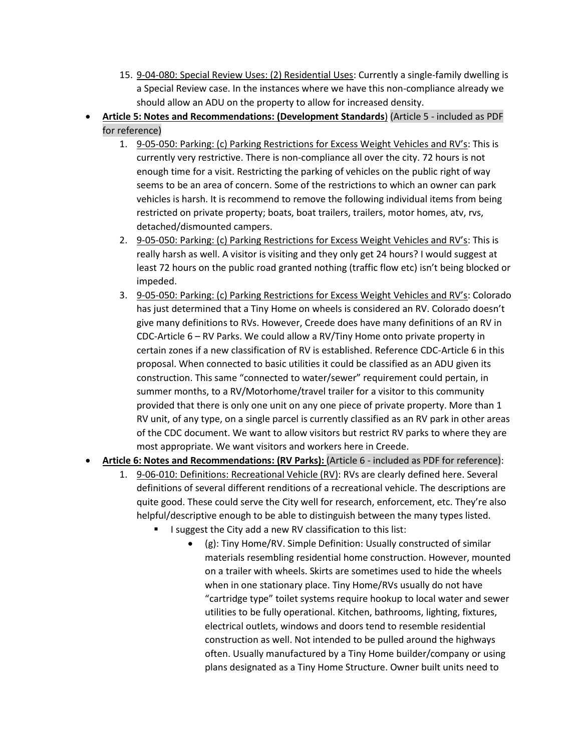- 15. 9-04-080: Special Review Uses: (2) Residential Uses: Currently a single-family dwelling is a Special Review case. In the instances where we have this non-compliance already we should allow an ADU on the property to allow for increased density.
- **Article 5: Notes and Recommendations: (Development Standards**) (Article 5 included as PDF for reference)
	- 1. 9-05-050: Parking: (c) Parking Restrictions for Excess Weight Vehicles and RV's: This is currently very restrictive. There is non-compliance all over the city. 72 hours is not enough time for a visit. Restricting the parking of vehicles on the public right of way seems to be an area of concern. Some of the restrictions to which an owner can park vehicles is harsh. It is recommend to remove the following individual items from being restricted on private property; boats, boat trailers, trailers, motor homes, atv, rvs, detached/dismounted campers.
	- 2. 9-05-050: Parking: (c) Parking Restrictions for Excess Weight Vehicles and RV's: This is really harsh as well. A visitor is visiting and they only get 24 hours? I would suggest at least 72 hours on the public road granted nothing (traffic flow etc) isn't being blocked or impeded.
	- 3. 9-05-050: Parking: (c) Parking Restrictions for Excess Weight Vehicles and RV's: Colorado has just determined that a Tiny Home on wheels is considered an RV. Colorado doesn't give many definitions to RVs. However, Creede does have many definitions of an RV in CDC-Article 6 – RV Parks. We could allow a RV/Tiny Home onto private property in certain zones if a new classification of RV is established. Reference CDC-Article 6 in this proposal. When connected to basic utilities it could be classified as an ADU given its construction. This same "connected to water/sewer" requirement could pertain, in summer months, to a RV/Motorhome/travel trailer for a visitor to this community provided that there is only one unit on any one piece of private property. More than 1 RV unit, of any type, on a single parcel is currently classified as an RV park in other areas of the CDC document. We want to allow visitors but restrict RV parks to where they are most appropriate. We want visitors and workers here in Creede.
- **Article 6: Notes and Recommendations: (RV Parks):** (Article 6 included as PDF for reference):
	- 1. 9-06-010: Definitions: Recreational Vehicle (RV): RVs are clearly defined here. Several definitions of several different renditions of a recreational vehicle. The descriptions are quite good. These could serve the City well for research, enforcement, etc. They're also helpful/descriptive enough to be able to distinguish between the many types listed.
		- I suggest the City add a new RV classification to this list:
			- (g): Tiny Home/RV. Simple Definition: Usually constructed of similar materials resembling residential home construction. However, mounted on a trailer with wheels. Skirts are sometimes used to hide the wheels when in one stationary place. Tiny Home/RVs usually do not have "cartridge type" toilet systems require hookup to local water and sewer utilities to be fully operational. Kitchen, bathrooms, lighting, fixtures, electrical outlets, windows and doors tend to resemble residential construction as well. Not intended to be pulled around the highways often. Usually manufactured by a Tiny Home builder/company or using plans designated as a Tiny Home Structure. Owner built units need to